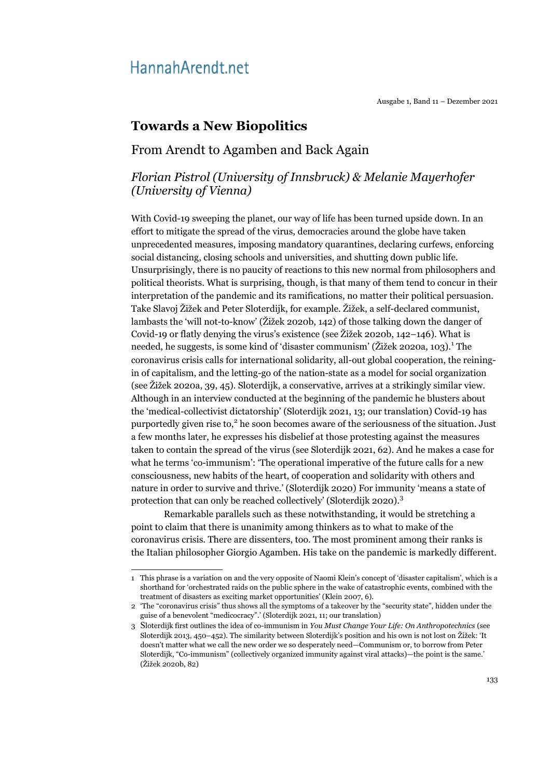# HannahArendt.net

Ausgabe 1, Band 11 – Dezember 2021

## **Towards a New Biopolitics**

## From Arendt to Agamben and Back Again

## *Florian Pistrol (University of Innsbruck) & Melanie Mayerhofer (University of Vienna)*

With Covid-19 sweeping the planet, our way of life has been turned upside down. In an effort to mitigate the spread of the virus, democracies around the globe have taken unprecedented measures, imposing mandatory quarantines, declaring curfews, enforcing social distancing, closing schools and universities, and shutting down public life. Unsurprisingly, there is no paucity of reactions to this new normal from philosophers and political theorists. What is surprising, though, is that many of them tend to concur in their interpretation of the pandemic and its ramifications, no matter their political persuasion. Take Slavoj Žižek and Peter Sloterdijk, for example. Žižek, a self-declared communist, lambasts the 'will not-to-know' (Žižek 2020b, 142) of those talking down the danger of Covid-19 or flatly denying the virus's existence (see Žižek 2020b, 142–146). What is needed, he suggests, is some kind of 'disaster communism' (Žižek 2020a, [1](#page-0-0)03).<sup>1</sup> The coronavirus crisis calls for international solidarity, all-out global cooperation, the reiningin of capitalism, and the letting-go of the nation-state as a model for social organization (see Žižek 2020a, 39, 45). Sloterdijk, a conservative, arrives at a strikingly similar view. Although in an interview conducted at the beginning of the pandemic he blusters about the 'medical-collectivist dictatorship' (Sloterdijk 2021, 13; our translation) Covid-19 has purportedly given rise to, $2$  he soon becomes aware of the seriousness of the situation. Just a few months later, he expresses his disbelief at those protesting against the measures taken to contain the spread of the virus (see Sloterdijk 2021, 62). And he makes a case for what he terms 'co-immunism': 'The operational imperative of the future calls for a new consciousness, new habits of the heart, of cooperation and solidarity with others and nature in order to survive and thrive.' (Sloterdijk 2020) For immunity 'means a state of protection that can only be reached collectively' (Sloterdijk 2020).[3](#page-0-2)

Remarkable parallels such as these notwithstanding, it would be stretching a point to claim that there is unanimity among thinkers as to what to make of the coronavirus crisis. There are dissenters, too. The most prominent among their ranks is the Italian philosopher Giorgio Agamben. His take on the pandemic is markedly different.

<span id="page-0-0"></span><sup>1</sup> This phrase is a variation on and the very opposite of Naomi Klein's concept of 'disaster capitalism', which is a shorthand for 'orchestrated raids on the public sphere in the wake of catastrophic events, combined with the treatment of disasters as exciting market opportunities' (Klein 2007, 6).

<span id="page-0-1"></span><sup>2</sup> 'The "coronavirus crisis" thus shows all the symptoms of a takeover by the "security state", hidden under the guise of a benevolent "medicocracy".' (Sloterdijk 2021, 11; our translation)

<span id="page-0-2"></span><sup>3</sup> Sloterdijk first outlines the idea of co-immunism in *You Must Change Your Life: On Anthropotechnics* (see Sloterdijk 2013, 450–452). The similarity between Sloterdijk's position and his own is not lost on Žižek: 'It doesn't matter what we call the new order we so desperately need—Communism or, to borrow from Peter Sloterdijk, "Co-immunism" (collectively organized immunity against viral attacks)—the point is the same.' (Žižek 2020b, 82)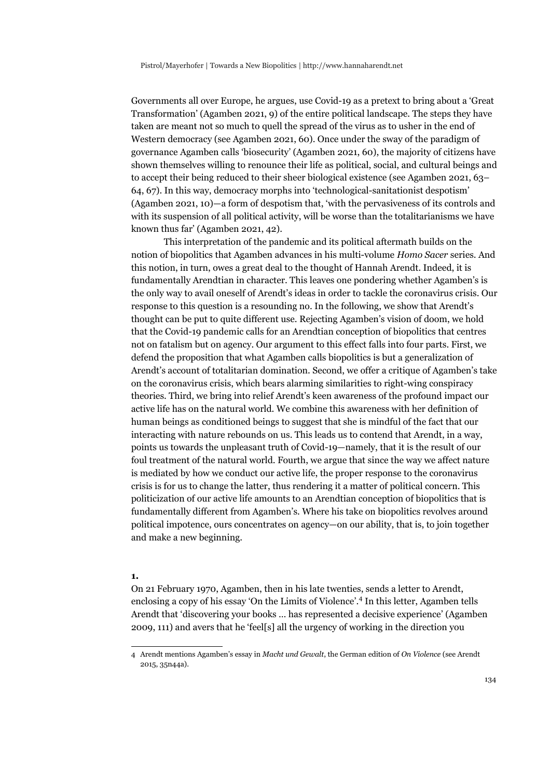Governments all over Europe, he argues, use Covid-19 as a pretext to bring about a 'Great Transformation' (Agamben 2021, 9) of the entire political landscape. The steps they have taken are meant not so much to quell the spread of the virus as to usher in the end of Western democracy (see Agamben 2021, 60). Once under the sway of the paradigm of governance Agamben calls 'biosecurity' (Agamben 2021, 60), the majority of citizens have shown themselves willing to renounce their life as political, social, and cultural beings and to accept their being reduced to their sheer biological existence (see Agamben 2021, 63– 64, 67). In this way, democracy morphs into 'technological-sanitationist despotism' (Agamben 2021, 10)—a form of despotism that, 'with the pervasiveness of its controls and with its suspension of all political activity, will be worse than the totalitarianisms we have known thus far' (Agamben 2021, 42).

This interpretation of the pandemic and its political aftermath builds on the notion of biopolitics that Agamben advances in his multi-volume *Homo Sacer* series. And this notion, in turn, owes a great deal to the thought of Hannah Arendt. Indeed, it is fundamentally Arendtian in character. This leaves one pondering whether Agamben's is the only way to avail oneself of Arendt's ideas in order to tackle the coronavirus crisis. Our response to this question is a resounding no. In the following, we show that Arendt's thought can be put to quite different use. Rejecting Agamben's vision of doom, we hold that the Covid-19 pandemic calls for an Arendtian conception of biopolitics that centres not on fatalism but on agency. Our argument to this effect falls into four parts. First, we defend the proposition that what Agamben calls biopolitics is but a generalization of Arendt's account of totalitarian domination. Second, we offer a critique of Agamben's take on the coronavirus crisis, which bears alarming similarities to right-wing conspiracy theories. Third, we bring into relief Arendt's keen awareness of the profound impact our active life has on the natural world. We combine this awareness with her definition of human beings as conditioned beings to suggest that she is mindful of the fact that our interacting with nature rebounds on us. This leads us to contend that Arendt, in a way, points us towards the unpleasant truth of Covid-19—namely, that it is the result of our foul treatment of the natural world. Fourth, we argue that since the way we affect nature is mediated by how we conduct our active life, the proper response to the coronavirus crisis is for us to change the latter, thus rendering it a matter of political concern. This politicization of our active life amounts to an Arendtian conception of biopolitics that is fundamentally different from Agamben's. Where his take on biopolitics revolves around political impotence, ours concentrates on agency—on our ability, that is, to join together and make a new beginning.

#### **1.**

On 21 February 1970, Agamben, then in his late twenties, sends a letter to Arendt, enclosing a copy of his essay 'On the Limits of Violence'.[4](#page-1-0) In this letter, Agamben tells Arendt that 'discovering your books … has represented a decisive experience' (Agamben 2009, 111) and avers that he 'feel[s] all the urgency of working in the direction you

<span id="page-1-0"></span><sup>4</sup> Arendt mentions Agamben's essay in *Macht und Gewalt*, the German edition of *On Violence* (see Arendt 2015, 35n44a).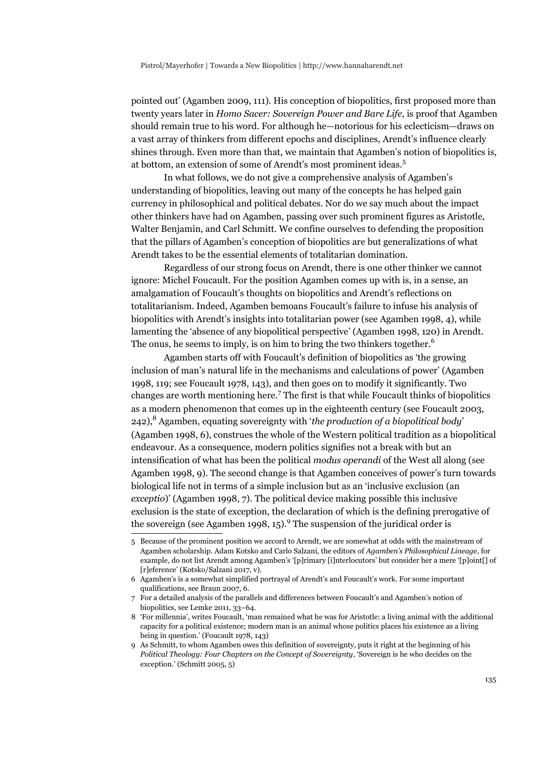pointed out' (Agamben 2009, 111). His conception of biopolitics, first proposed more than twenty years later in *Homo Sacer: Sovereign Power and Bare Life*, is proof that Agamben should remain true to his word. For although he—notorious for his eclecticism—draws on a vast array of thinkers from different epochs and disciplines, Arendt's influence clearly shines through. Even more than that, we maintain that Agamben's notion of biopolitics is, at bottom, an extension of some of Arendt's most prominent ideas.[5](#page-2-0)

In what follows, we do not give a comprehensive analysis of Agamben's understanding of biopolitics, leaving out many of the concepts he has helped gain currency in philosophical and political debates. Nor do we say much about the impact other thinkers have had on Agamben, passing over such prominent figures as Aristotle, Walter Benjamin, and Carl Schmitt. We confine ourselves to defending the proposition that the pillars of Agamben's conception of biopolitics are but generalizations of what Arendt takes to be the essential elements of totalitarian domination.

Regardless of our strong focus on Arendt, there is one other thinker we cannot ignore: Michel Foucault. For the position Agamben comes up with is, in a sense, an amalgamation of Foucault's thoughts on biopolitics and Arendt's reflections on totalitarianism. Indeed, Agamben bemoans Foucault's failure to infuse his analysis of biopolitics with Arendt's insights into totalitarian power (see Agamben 1998, 4), while lamenting the 'absence of any biopolitical perspective' (Agamben 1998, 120) in Arendt. The onus, he seems to imply, is on him to bring the two thinkers together.<sup>[6](#page-2-1)</sup>

Agamben starts off with Foucault's definition of biopolitics as 'the growing inclusion of man's natural life in the mechanisms and calculations of power' (Agamben 1998, 119; see Foucault 1978, 143), and then goes on to modify it significantly. Two changes are worth mentioning here.<sup>[7](#page-2-2)</sup> The first is that while Foucault thinks of biopolitics as a modern phenomenon that comes up in the eighteenth century (see Foucault 2003, 242),<sup>[8](#page-2-3)</sup> Agamben, equating sovereignty with '*the production of a biopolitical body*' (Agamben 1998, 6), construes the whole of the Western political tradition as a biopolitical endeavour. As a consequence, modern politics signifies not a break with but an intensification of what has been the political *modus operandi* of the West all along (see Agamben 1998, 9). The second change is that Agamben conceives of power's turn towards biological life not in terms of a simple inclusion but as an 'inclusive exclusion (an *exceptio*)' (Agamben 1998, 7). The political device making possible this inclusive exclusion is the state of exception, the declaration of which is the defining prerogative of the sovereign (see Agamben 1[9](#page-2-4)98, 15).<sup>9</sup> The suspension of the juridical order is

<span id="page-2-0"></span><sup>5</sup> Because of the prominent position we accord to Arendt, we are somewhat at odds with the mainstream of Agamben scholarship. Adam Kotsko and Carlo Salzani, the editors of *Agamben's Philosophical Lineage*, for example, do not list Arendt among Agamben's '[p]rimary [i]nterlocutors' but consider her a mere '[p]oint[] of [r]eference' (Kotsko/Salzani 2017, v).

<span id="page-2-1"></span><sup>6</sup> Agamben's is a somewhat simplified portrayal of Arendt's and Foucault's work. For some important qualifications, see Braun 2007, 6.

<span id="page-2-2"></span><sup>7</sup> For a detailed analysis of the parallels and differences between Foucault's and Agamben's notion of biopolitics, see Lemke 2011, 33–64.

<span id="page-2-3"></span><sup>8</sup> 'For millennia', writes Foucault, 'man remained what he was for Aristotle: a living animal with the additional capacity for a political existence; modern man is an animal whose politics places his existence as a living being in question.' (Foucault 1978, 143)

<span id="page-2-4"></span><sup>9</sup> As Schmitt, to whom Agamben owes this definition of sovereignty, puts it right at the beginning of his *Political Theology: Four Chapters on the Concept of Sovereignty*, 'Sovereign is he who decides on the exception.' (Schmitt 2005, 5)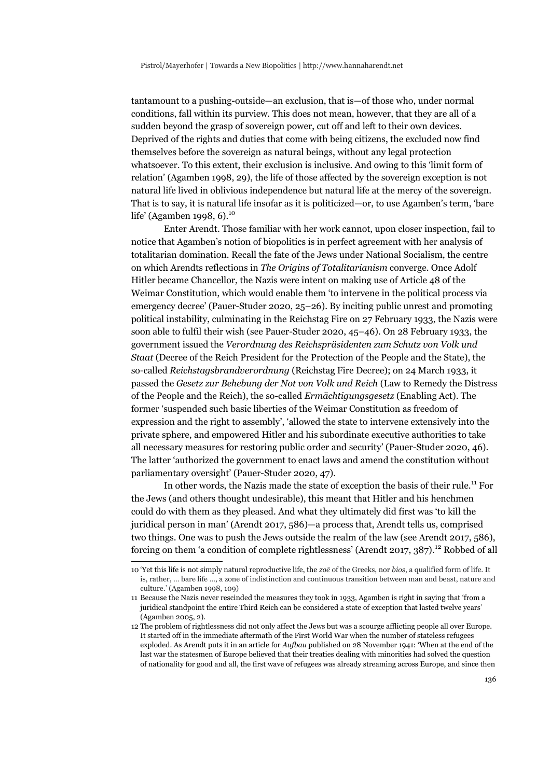tantamount to a pushing-outside—an exclusion, that is—of those who, under normal conditions, fall within its purview. This does not mean, however, that they are all of a sudden beyond the grasp of sovereign power, cut off and left to their own devices. Deprived of the rights and duties that come with being citizens, the excluded now find themselves before the sovereign as natural beings, without any legal protection whatsoever. To this extent, their exclusion is inclusive. And owing to this 'limit form of relation' (Agamben 1998, 29), the life of those affected by the sovereign exception is not natural life lived in oblivious independence but natural life at the mercy of the sovereign. That is to say, it is natural life insofar as it is politicized—or, to use Agamben's term, 'bare life' (Agamben 1998, 6). $^{10}$  $^{10}$  $^{10}$ 

Enter Arendt. Those familiar with her work cannot, upon closer inspection, fail to notice that Agamben's notion of biopolitics is in perfect agreement with her analysis of totalitarian domination. Recall the fate of the Jews under National Socialism, the centre on which Arendts reflections in *The Origins of Totalitarianism* converge. Once Adolf Hitler became Chancellor, the Nazis were intent on making use of Article 48 of the Weimar Constitution, which would enable them 'to intervene in the political process via emergency decree' (Pauer-Studer 2020, 25–26). By inciting public unrest and promoting political instability, culminating in the Reichstag Fire on 27 February 1933, the Nazis were soon able to fulfil their wish (see Pauer-Studer 2020, 45–46). On 28 February 1933, the government issued the *Verordnung des Reichspräsidenten zum Schutz von Volk und Staat* (Decree of the Reich President for the Protection of the People and the State), the so-called *Reichstagsbrandverordnung* (Reichstag Fire Decree); on 24 March 1933, it passed the *Gesetz zur Behebung der Not von Volk und Reich* (Law to Remedy the Distress of the People and the Reich), the so-called *Ermächtigungsgesetz* (Enabling Act). The former 'suspended such basic liberties of the Weimar Constitution as freedom of expression and the right to assembly', 'allowed the state to intervene extensively into the private sphere, and empowered Hitler and his subordinate executive authorities to take all necessary measures for restoring public order and security' (Pauer-Studer 2020, 46). The latter 'authorized the government to enact laws and amend the constitution without parliamentary oversight' (Pauer-Studer 2020, 47).

In other words, the Nazis made the state of exception the basis of their rule.<sup>[11](#page-3-1)</sup> For the Jews (and others thought undesirable), this meant that Hitler and his henchmen could do with them as they pleased. And what they ultimately did first was 'to kill the juridical person in man' (Arendt 2017, 586)—a process that, Arendt tells us, comprised two things. One was to push the Jews outside the realm of the law (see Arendt 2017, 586), forcing on them 'a condition of complete rightlessness' (Arendt 2017, 387).<sup>[12](#page-3-2)</sup> Robbed of all

<span id="page-3-0"></span><sup>10</sup> 'Yet this life is not simply natural reproductive life, the *zoē* of the Greeks, nor *bios*, a qualified form of life. It is, rather, … bare life …, a zone of indistinction and continuous transition between man and beast, nature and culture.' (Agamben 1998, 109)

<span id="page-3-1"></span><sup>11</sup> Because the Nazis never rescinded the measures they took in 1933, Agamben is right in saying that 'from a juridical standpoint the entire Third Reich can be considered a state of exception that lasted twelve years' (Agamben 2005, 2).

<span id="page-3-2"></span><sup>12</sup> The problem of rightlessness did not only affect the Jews but was a scourge afflicting people all over Europe. It started off in the immediate aftermath of the First World War when the number of stateless refugees exploded. As Arendt puts it in an article for *Aufbau* published on 28 November 1941: 'When at the end of the last war the statesmen of Europe believed that their treaties dealing with minorities had solved the question of nationality for good and all, the first wave of refugees was already streaming across Europe, and since then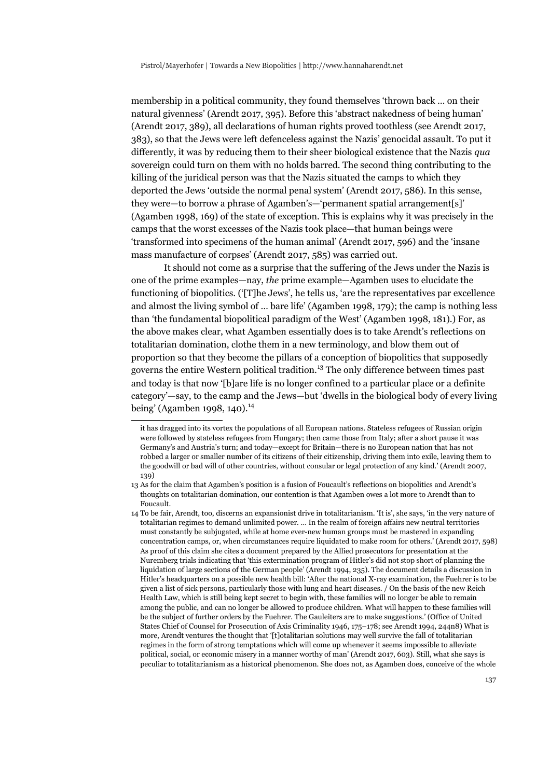membership in a political community, they found themselves 'thrown back … on their natural givenness' (Arendt 2017, 395). Before this 'abstract nakedness of being human' (Arendt 2017, 389), all declarations of human rights proved toothless (see Arendt 2017, 383), so that the Jews were left defenceless against the Nazis' genocidal assault. To put it differently, it was by reducing them to their sheer biological existence that the Nazis *qua* sovereign could turn on them with no holds barred. The second thing contributing to the killing of the juridical person was that the Nazis situated the camps to which they deported the Jews 'outside the normal penal system' (Arendt 2017, 586). In this sense, they were—to borrow a phrase of Agamben's—'permanent spatial arrangement[s]' (Agamben 1998, 169) of the state of exception. This is explains why it was precisely in the camps that the worst excesses of the Nazis took place—that human beings were 'transformed into specimens of the human animal' (Arendt 2017, 596) and the 'insane mass manufacture of corpses' (Arendt 2017, 585) was carried out.

It should not come as a surprise that the suffering of the Jews under the Nazis is one of the prime examples—nay, *the* prime example—Agamben uses to elucidate the functioning of biopolitics. ('[T]he Jews', he tells us, 'are the representatives par excellence and almost the living symbol of … bare life' (Agamben 1998, 179); the camp is nothing less than 'the fundamental biopolitical paradigm of the West' (Agamben 1998, 181).) For, as the above makes clear, what Agamben essentially does is to take Arendt's reflections on totalitarian domination, clothe them in a new terminology, and blow them out of proportion so that they become the pillars of a conception of biopolitics that supposedly governs the entire Western political tradition.[13](#page-4-0) The only difference between times past and today is that now '[b]are life is no longer confined to a particular place or a definite category'—say, to the camp and the Jews—but 'dwells in the biological body of every living being' (Agamben 1998, [14](#page-4-1)0).<sup>14</sup>

it has dragged into its vortex the populations of all European nations. Stateless refugees of Russian origin were followed by stateless refugees from Hungary; then came those from Italy; after a short pause it was Germany's and Austria's turn; and today—except for Britain—there is no European nation that has not robbed a larger or smaller number of its citizens of their citizenship, driving them into exile, leaving them to the goodwill or bad will of other countries, without consular or legal protection of any kind.' (Arendt 2007, 139)

<span id="page-4-0"></span><sup>13</sup> As for the claim that Agamben's position is a fusion of Foucault's reflections on biopolitics and Arendt's thoughts on totalitarian domination, our contention is that Agamben owes a lot more to Arendt than to Foucault.

<span id="page-4-1"></span><sup>14</sup> To be fair, Arendt, too, discerns an expansionist drive in totalitarianism. 'It is', she says, 'in the very nature of totalitarian regimes to demand unlimited power. … In the realm of foreign affairs new neutral territories must constantly be subjugated, while at home ever-new human groups must be mastered in expanding concentration camps, or, when circumstances require liquidated to make room for others.' (Arendt 2017, 598) As proof of this claim she cites a document prepared by the Allied prosecutors for presentation at the Nuremberg trials indicating that 'this extermination program of Hitler's did not stop short of planning the liquidation of large sections of the German people' (Arendt 1994, 235). The document details a discussion in Hitler's headquarters on a possible new health bill: 'After the national X-ray examination, the Fuehrer is to be given a list of sick persons, particularly those with lung and heart diseases. / On the basis of the new Reich Health Law, which is still being kept secret to begin with, these families will no longer be able to remain among the public, and can no longer be allowed to produce children. What will happen to these families will be the subject of further orders by the Fuehrer. The Gauleiters are to make suggestions.' (Office of United States Chief of Counsel for Prosecution of Axis Criminality 1946, 175–178; see Arendt 1994, 244n8) What is more, Arendt ventures the thought that '[t]otalitarian solutions may well survive the fall of totalitarian regimes in the form of strong temptations which will come up whenever it seems impossible to alleviate political, social, or economic misery in a manner worthy of man' (Arendt 2017, 603). Still, what she says is peculiar to totalitarianism as a historical phenomenon. She does not, as Agamben does, conceive of the whole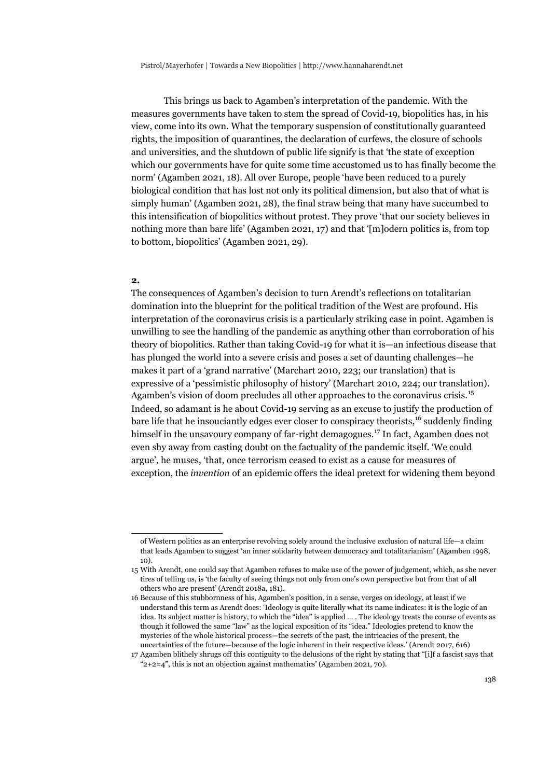Pistrol/Mayerhofer | Towards a New Biopolitics | http://www.hannaharendt.net

This brings us back to Agamben's interpretation of the pandemic. With the measures governments have taken to stem the spread of Covid-19, biopolitics has, in his view, come into its own. What the temporary suspension of constitutionally guaranteed rights, the imposition of quarantines, the declaration of curfews, the closure of schools and universities, and the shutdown of public life signify is that 'the state of exception which our governments have for quite some time accustomed us to has finally become the norm' (Agamben 2021, 18). All over Europe, people 'have been reduced to a purely biological condition that has lost not only its political dimension, but also that of what is simply human' (Agamben 2021, 28), the final straw being that many have succumbed to this intensification of biopolitics without protest. They prove 'that our society believes in nothing more than bare life' (Agamben 2021, 17) and that '[m]odern politics is, from top to bottom, biopolitics' (Agamben 2021, 29).

#### **2.**

The consequences of Agamben's decision to turn Arendt's reflections on totalitarian domination into the blueprint for the political tradition of the West are profound. His interpretation of the coronavirus crisis is a particularly striking case in point. Agamben is unwilling to see the handling of the pandemic as anything other than corroboration of his theory of biopolitics. Rather than taking Covid-19 for what it is—an infectious disease that has plunged the world into a severe crisis and poses a set of daunting challenges—he makes it part of a 'grand narrative' (Marchart 2010, 223; our translation) that is expressive of a 'pessimistic philosophy of history' (Marchart 2010, 224; our translation). Agamben's vision of doom precludes all other approaches to the coronavirus crisis.[15](#page-5-0) Indeed, so adamant is he about Covid-19 serving as an excuse to justify the production of bare life that he insouciantly edges ever closer to conspiracy theorists,[16](#page-5-1) suddenly finding himself in the unsavoury company of far-right demagogues.<sup>[17](#page-5-2)</sup> In fact, Agamben does not even shy away from casting doubt on the factuality of the pandemic itself. 'We could argue', he muses, 'that, once terrorism ceased to exist as a cause for measures of exception, the *invention* of an epidemic offers the ideal pretext for widening them beyond

of Western politics as an enterprise revolving solely around the inclusive exclusion of natural life—a claim that leads Agamben to suggest 'an inner solidarity between democracy and totalitarianism' (Agamben 1998, 10).

<span id="page-5-0"></span><sup>15</sup> With Arendt, one could say that Agamben refuses to make use of the power of judgement, which, as she never tires of telling us, is 'the faculty of seeing things not only from one's own perspective but from that of all others who are present' (Arendt 2018a, 181).

<span id="page-5-1"></span><sup>16</sup> Because of this stubbornness of his, Agamben's position, in a sense, verges on ideology, at least if we understand this term as Arendt does: 'Ideology is quite literally what its name indicates: it is the logic of an idea. Its subject matter is history, to which the "idea" is applied … . The ideology treats the course of events as though it followed the same "law" as the logical exposition of its "idea." Ideologies pretend to know the mysteries of the whole historical process—the secrets of the past, the intricacies of the present, the uncertainties of the future—because of the logic inherent in their respective ideas.' (Arendt 2017, 616)

<span id="page-5-2"></span><sup>17</sup> Agamben blithely shrugs off this contiguity to the delusions of the right by stating that "[i]f a fascist says that " $2+2=4$ ", this is not an objection against mathematics' (Agamben 2021, 70).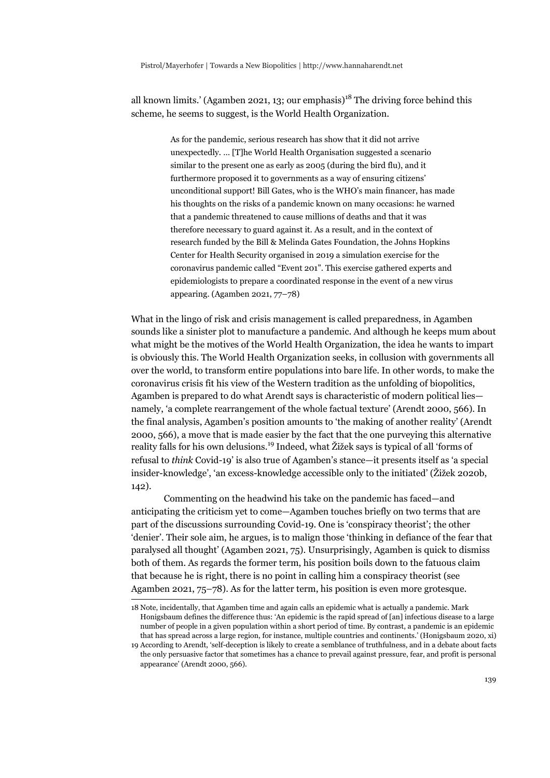### all known limits.' (Agamben 2021, 13; our emphasis)<sup>[18](#page-6-0)</sup> The driving force behind this scheme, he seems to suggest, is the World Health Organization.

As for the pandemic, serious research has show that it did not arrive unexpectedly. … [T]he World Health Organisation suggested a scenario similar to the present one as early as 2005 (during the bird flu), and it furthermore proposed it to governments as a way of ensuring citizens' unconditional support! Bill Gates, who is the WHO's main financer, has made his thoughts on the risks of a pandemic known on many occasions: he warned that a pandemic threatened to cause millions of deaths and that it was therefore necessary to guard against it. As a result, and in the context of research funded by the Bill & Melinda Gates Foundation, the Johns Hopkins Center for Health Security organised in 2019 a simulation exercise for the coronavirus pandemic called "Event 201". This exercise gathered experts and epidemiologists to prepare a coordinated response in the event of a new virus appearing. (Agamben 2021, 77–78)

What in the lingo of risk and crisis management is called preparedness, in Agamben sounds like a sinister plot to manufacture a pandemic. And although he keeps mum about what might be the motives of the World Health Organization, the idea he wants to impart is obviously this. The World Health Organization seeks, in collusion with governments all over the world, to transform entire populations into bare life. In other words, to make the coronavirus crisis fit his view of the Western tradition as the unfolding of biopolitics, Agamben is prepared to do what Arendt says is characteristic of modern political lies namely, 'a complete rearrangement of the whole factual texture' (Arendt 2000, 566). In the final analysis, Agamben's position amounts to 'the making of another reality' (Arendt 2000, 566), a move that is made easier by the fact that the one purveying this alternative reality falls for his own delusions.[19](#page-6-1) Indeed, what Žižek says is typical of all 'forms of refusal to *think* Covid-19' is also true of Agamben's stance—it presents itself as 'a special insider-knowledge', 'an excess-knowledge accessible only to the initiated' (Žižek 2020b, 142).

Commenting on the headwind his take on the pandemic has faced—and anticipating the criticism yet to come—Agamben touches briefly on two terms that are part of the discussions surrounding Covid-19. One is 'conspiracy theorist'; the other 'denier'. Their sole aim, he argues, is to malign those 'thinking in defiance of the fear that paralysed all thought' (Agamben 2021, 75). Unsurprisingly, Agamben is quick to dismiss both of them. As regards the former term, his position boils down to the fatuous claim that because he is right, there is no point in calling him a conspiracy theorist (see Agamben 2021, 75–78). As for the latter term, his position is even more grotesque.

<span id="page-6-0"></span><sup>18</sup> Note, incidentally, that Agamben time and again calls an epidemic what is actually a pandemic. Mark Honigsbaum defines the difference thus: 'An epidemic is the rapid spread of [an] infectious disease to a large number of people in a given population within a short period of time. By contrast, a pandemic is an epidemic that has spread across a large region, for instance, multiple countries and continents.' (Honigsbaum 2020, xi)

<span id="page-6-1"></span><sup>19</sup> According to Arendt, 'self-deception is likely to create a semblance of truthfulness, and in a debate about facts the only persuasive factor that sometimes has a chance to prevail against pressure, fear, and profit is personal appearance' (Arendt 2000, 566).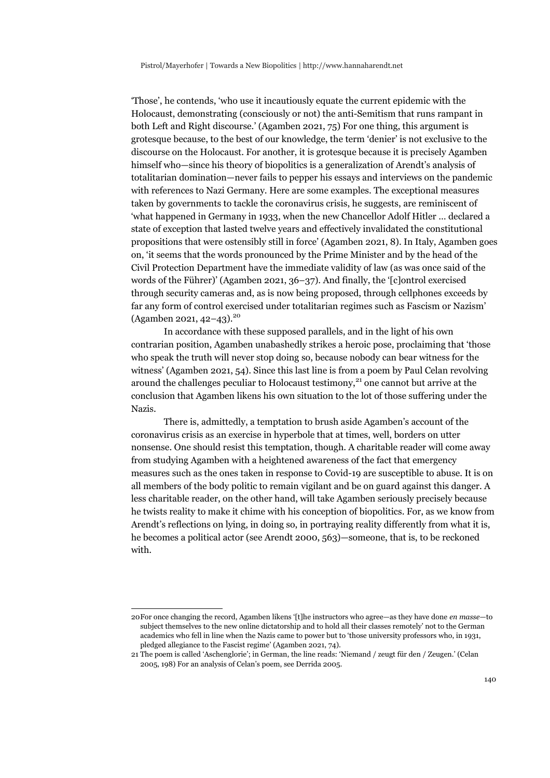'Those', he contends, 'who use it incautiously equate the current epidemic with the Holocaust, demonstrating (consciously or not) the anti-Semitism that runs rampant in both Left and Right discourse.' (Agamben 2021, 75) For one thing, this argument is grotesque because, to the best of our knowledge, the term 'denier' is not exclusive to the discourse on the Holocaust. For another, it is grotesque because it is precisely Agamben himself who—since his theory of biopolitics is a generalization of Arendt's analysis of totalitarian domination—never fails to pepper his essays and interviews on the pandemic with references to Nazi Germany. Here are some examples. The exceptional measures taken by governments to tackle the coronavirus crisis, he suggests, are reminiscent of 'what happened in Germany in 1933, when the new Chancellor Adolf Hitler … declared a state of exception that lasted twelve years and effectively invalidated the constitutional propositions that were ostensibly still in force' (Agamben 2021, 8). In Italy, Agamben goes on, 'it seems that the words pronounced by the Prime Minister and by the head of the Civil Protection Department have the immediate validity of law (as was once said of the words of the Führer)' (Agamben 2021, 36–37). And finally, the '[c]ontrol exercised through security cameras and, as is now being proposed, through cellphones exceeds by far any form of control exercised under totalitarian regimes such as Fascism or Nazism'  $(Agamma 2021, 42-43).^{20}$  $(Agamma 2021, 42-43).^{20}$  $(Agamma 2021, 42-43).^{20}$ 

In accordance with these supposed parallels, and in the light of his own contrarian position, Agamben unabashedly strikes a heroic pose, proclaiming that 'those who speak the truth will never stop doing so, because nobody can bear witness for the witness' (Agamben 2021, 54). Since this last line is from a poem by Paul Celan revolving around the challenges peculiar to Holocaust testimony, $^{21}$  $^{21}$  $^{21}$  one cannot but arrive at the conclusion that Agamben likens his own situation to the lot of those suffering under the Nazis.

There is, admittedly, a temptation to brush aside Agamben's account of the coronavirus crisis as an exercise in hyperbole that at times, well, borders on utter nonsense. One should resist this temptation, though. A charitable reader will come away from studying Agamben with a heightened awareness of the fact that emergency measures such as the ones taken in response to Covid-19 are susceptible to abuse. It is on all members of the body politic to remain vigilant and be on guard against this danger. A less charitable reader, on the other hand, will take Agamben seriously precisely because he twists reality to make it chime with his conception of biopolitics. For, as we know from Arendt's reflections on lying, in doing so, in portraying reality differently from what it is, he becomes a political actor (see Arendt 2000, 563)—someone, that is, to be reckoned with.

<span id="page-7-0"></span><sup>20</sup>For once changing the record, Agamben likens '[t]he instructors who agree—as they have done *en masse*—to subject themselves to the new online dictatorship and to hold all their classes remotely' not to the German academics who fell in line when the Nazis came to power but to 'those university professors who, in 1931, pledged allegiance to the Fascist regime' (Agamben 2021, 74).

<span id="page-7-1"></span><sup>21</sup> The poem is called 'Aschenglorie'; in German, the line reads: 'Niemand / zeugt für den / Zeugen.' (Celan 2005, 198) For an analysis of Celan's poem, see Derrida 2005.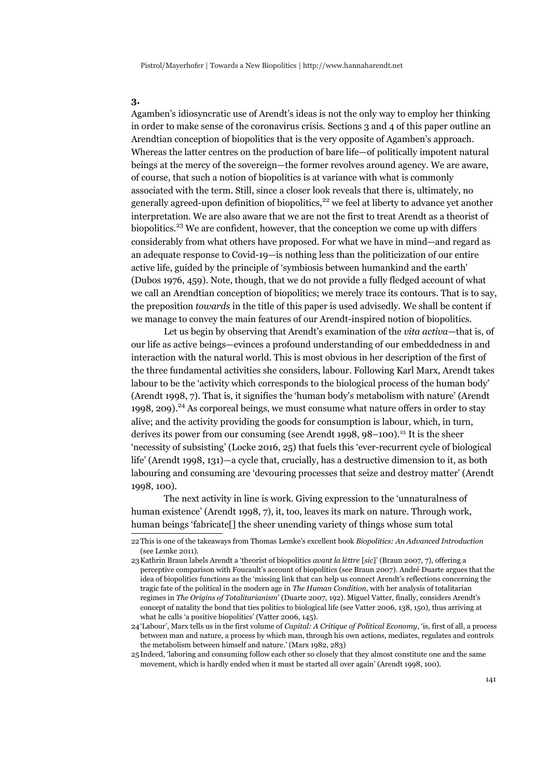#### **3.**

Agamben's idiosyncratic use of Arendt's ideas is not the only way to employ her thinking in order to make sense of the coronavirus crisis. Sections 3 and 4 of this paper outline an Arendtian conception of biopolitics that is the very opposite of Agamben's approach. Whereas the latter centres on the production of bare life—of politically impotent natural beings at the mercy of the sovereign—the former revolves around agency. We are aware, of course, that such a notion of biopolitics is at variance with what is commonly associated with the term. Still, since a closer look reveals that there is, ultimately, no generally agreed-upon definition of biopolitics, $2<sup>2</sup>$  we feel at liberty to advance yet another interpretation. We are also aware that we are not the first to treat Arendt as a theorist of biopolitics.<sup>[23](#page-8-1)</sup> We are confident, however, that the conception we come up with differs considerably from what others have proposed. For what we have in mind—and regard as an adequate response to Covid-19—is nothing less than the politicization of our entire active life, guided by the principle of 'symbiosis between humankind and the earth' (Dubos 1976, 459). Note, though, that we do not provide a fully fledged account of what we call an Arendtian conception of biopolitics; we merely trace its contours. That is to say, the preposition *towards* in the title of this paper is used advisedly. We shall be content if we manage to convey the main features of our Arendt-inspired notion of biopolitics.

Let us begin by observing that Arendt's examination of the *vita activa*—that is, of our life as active beings—evinces a profound understanding of our embeddedness in and interaction with the natural world. This is most obvious in her description of the first of the three fundamental activities she considers, labour. Following Karl Marx, Arendt takes labour to be the 'activity which corresponds to the biological process of the human body' (Arendt 1998, 7). That is, it signifies the 'human body's metabolism with nature' (Arendt 1998, 209).<sup>[24](#page-8-2)</sup> As corporeal beings, we must consume what nature offers in order to stay alive; and the activity providing the goods for consumption is labour, which, in turn, derives its power from our consuming (see Arendt 1998,  $98-100$ ).<sup>[25](#page-8-3)</sup> It is the sheer 'necessity of subsisting' (Locke 2016, 25) that fuels this 'ever-recurrent cycle of biological life' (Arendt 1998, 131)—a cycle that, crucially, has a destructive dimension to it, as both labouring and consuming are 'devouring processes that seize and destroy matter' (Arendt 1998, 100).

The next activity in line is work. Giving expression to the 'unnaturalness of human existence' (Arendt 1998, 7), it, too, leaves its mark on nature. Through work, human beings 'fabricate[] the sheer unending variety of things whose sum total

<span id="page-8-0"></span><sup>22</sup>This is one of the takeaways from Thomas Lemke's excellent book *Biopolitics: An Advanced Introduction* (see Lemke 2011).

<span id="page-8-1"></span><sup>23</sup>Kathrin Braun labels Arendt a 'theorist of biopolitics *avant la lèttre* [*sic*]' (Braun 2007, 7), offering a perceptive comparison with Foucault's account of biopolitics (see Braun 2007). André Duarte argues that the idea of biopolitics functions as the 'missing link that can help us connect Arendt's reflections concerning the tragic fate of the political in the modern age in *The Human Condition*, with her analysis of totalitarian regimes in *The Origins of Totalitarianism*' (Duarte 2007, 192). Miguel Vatter, finally, considers Arendt's concept of natality the bond that ties politics to biological life (see Vatter 2006, 138, 150), thus arriving at what he calls 'a positive biopolitics' (Vatter 2006, 145).

<span id="page-8-2"></span><sup>24&#</sup>x27;Labour', Marx tells us in the first volume of *Capital: A Critique of Political Economy*, 'is, first of all, a process between man and nature, a process by which man, through his own actions, mediates, regulates and controls the metabolism between himself and nature.' (Marx 1982, 283)

<span id="page-8-3"></span><sup>25</sup> Indeed, 'laboring and consuming follow each other so closely that they almost constitute one and the same movement, which is hardly ended when it must be started all over again' (Arendt 1998, 100).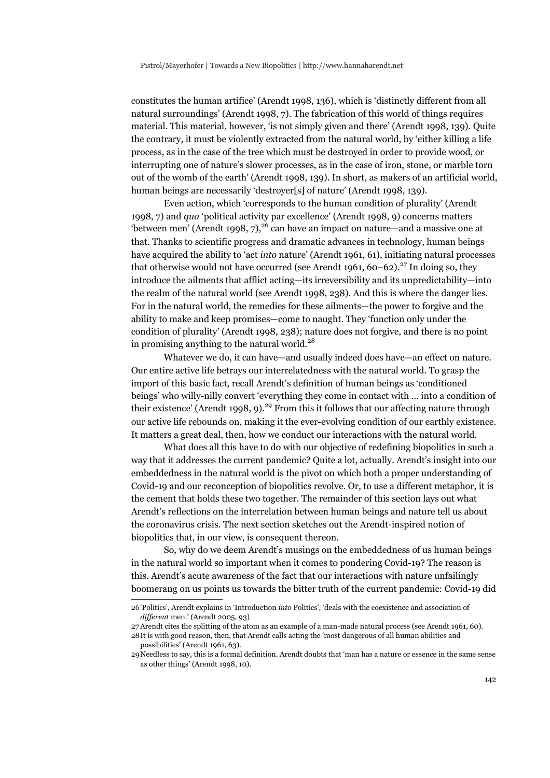constitutes the human artifice' (Arendt 1998, 136), which is 'distinctly different from all natural surroundings' (Arendt 1998, 7). The fabrication of this world of things requires material. This material, however, 'is not simply given and there' (Arendt 1998, 139). Quite the contrary, it must be violently extracted from the natural world, by 'either killing a life process, as in the case of the tree which must be destroyed in order to provide wood, or interrupting one of nature's slower processes, as in the case of iron, stone, or marble torn out of the womb of the earth' (Arendt 1998, 139). In short, as makers of an artificial world, human beings are necessarily 'destroyer[s] of nature' (Arendt 1998, 139).

Even action, which 'corresponds to the human condition of plurality' (Arendt 1998, 7) and *qua* 'political activity par excellence' (Arendt 1998, 9) concerns matters 'between men' (Arendt 1998, 7),<sup>[26](#page-9-0)</sup> can have an impact on nature—and a massive one at that. Thanks to scientific progress and dramatic advances in technology, human beings have acquired the ability to 'act *into* nature' (Arendt 1961, 61), initiating natural processes that otherwise would not have occurred (see Arendt 1961, 60–62).<sup>[27](#page-9-1)</sup> In doing so, they introduce the ailments that afflict acting—its irreversibility and its unpredictability—into the realm of the natural world (see Arendt 1998, 238). And this is where the danger lies. For in the natural world, the remedies for these ailments—the power to forgive and the ability to make and keep promises—come to naught. They 'function only under the condition of plurality' (Arendt 1998, 238); nature does not forgive, and there is no point in promising anything to the natural world. $^{28}$  $^{28}$  $^{28}$ 

Whatever we do, it can have—and usually indeed does have—an effect on nature. Our entire active life betrays our interrelatedness with the natural world. To grasp the import of this basic fact, recall Arendt's definition of human beings as 'conditioned beings' who willy-nilly convert 'everything they come in contact with … into a condition of their existence' (Arendt 1998, 9).<sup>[29](#page-9-3)</sup> From this it follows that our affecting nature through our active life rebounds on, making it the ever-evolving condition of our earthly existence. It matters a great deal, then, how we conduct our interactions with the natural world.

What does all this have to do with our objective of redefining biopolitics in such a way that it addresses the current pandemic? Quite a lot, actually. Arendt's insight into our embeddedness in the natural world is the pivot on which both a proper understanding of Covid-19 and our reconception of biopolitics revolve. Or, to use a different metaphor, it is the cement that holds these two together. The remainder of this section lays out what Arendt's reflections on the interrelation between human beings and nature tell us about the coronavirus crisis. The next section sketches out the Arendt-inspired notion of biopolitics that, in our view, is consequent thereon.

So, why do we deem Arendt's musings on the embeddedness of us human beings in the natural world so important when it comes to pondering Covid-19? The reason is this. Arendt's acute awareness of the fact that our interactions with nature unfailingly boomerang on us points us towards the bitter truth of the current pandemic: Covid-19 did

<span id="page-9-0"></span><sup>26&#</sup>x27;Politics', Arendt explains in 'Introduction *into* Politics', 'deals with the coexistence and association of *different* men.' (Arendt 2005, 93)

<span id="page-9-1"></span><sup>27</sup> Arendt cites the splitting of the atom as an example of a man-made natural process (see Arendt 1961, 60).

<span id="page-9-2"></span><sup>28</sup>It is with good reason, then, that Arendt calls acting the 'most dangerous of all human abilities and possibilities' (Arendt 1961, 63).

<span id="page-9-3"></span><sup>29</sup>Needless to say, this is a formal definition. Arendt doubts that 'man has a nature or essence in the same sense as other things' (Arendt 1998, 10).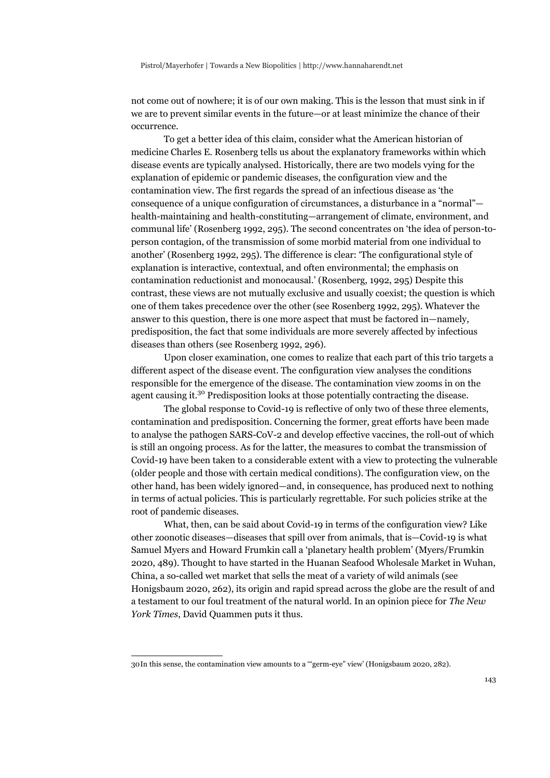not come out of nowhere; it is of our own making. This is the lesson that must sink in if we are to prevent similar events in the future—or at least minimize the chance of their occurrence.

To get a better idea of this claim, consider what the American historian of medicine Charles E. Rosenberg tells us about the explanatory frameworks within which disease events are typically analysed. Historically, there are two models vying for the explanation of epidemic or pandemic diseases, the configuration view and the contamination view. The first regards the spread of an infectious disease as 'the consequence of a unique configuration of circumstances, a disturbance in a "normal" health-maintaining and health-constituting—arrangement of climate, environment, and communal life' (Rosenberg 1992, 295). The second concentrates on 'the idea of person-toperson contagion, of the transmission of some morbid material from one individual to another' (Rosenberg 1992, 295). The difference is clear: 'The configurational style of explanation is interactive, contextual, and often environmental; the emphasis on contamination reductionist and monocausal.' (Rosenberg, 1992, 295) Despite this contrast, these views are not mutually exclusive and usually coexist; the question is which one of them takes precedence over the other (see Rosenberg 1992, 295). Whatever the answer to this question, there is one more aspect that must be factored in—namely, predisposition, the fact that some individuals are more severely affected by infectious diseases than others (see Rosenberg 1992, 296).

Upon closer examination, one comes to realize that each part of this trio targets a different aspect of the disease event. The configuration view analyses the conditions responsible for the emergence of the disease. The contamination view zooms in on the agent causing it.<sup>[30](#page-10-0)</sup> Predisposition looks at those potentially contracting the disease.

The global response to Covid-19 is reflective of only two of these three elements, contamination and predisposition. Concerning the former, great efforts have been made to analyse the pathogen SARS-CoV-2 and develop effective vaccines, the roll-out of which is still an ongoing process. As for the latter, the measures to combat the transmission of Covid-19 have been taken to a considerable extent with a view to protecting the vulnerable (older people and those with certain medical conditions). The configuration view, on the other hand, has been widely ignored—and, in consequence, has produced next to nothing in terms of actual policies. This is particularly regrettable. For such policies strike at the root of pandemic diseases.

What, then, can be said about Covid-19 in terms of the configuration view? Like other zoonotic diseases—diseases that spill over from animals, that is—Covid-19 is what Samuel Myers and Howard Frumkin call a 'planetary health problem' (Myers/Frumkin 2020, 489). Thought to have started in the Huanan Seafood Wholesale Market in Wuhan, China, a so-called wet market that sells the meat of a variety of wild animals (see Honigsbaum 2020, 262), its origin and rapid spread across the globe are the result of and a testament to our foul treatment of the natural world. In an opinion piece for *The New York Times*, David Quammen puts it thus.

<span id="page-10-0"></span><sup>30</sup>In this sense, the contamination view amounts to a '"germ-eye" view' (Honigsbaum 2020, 282).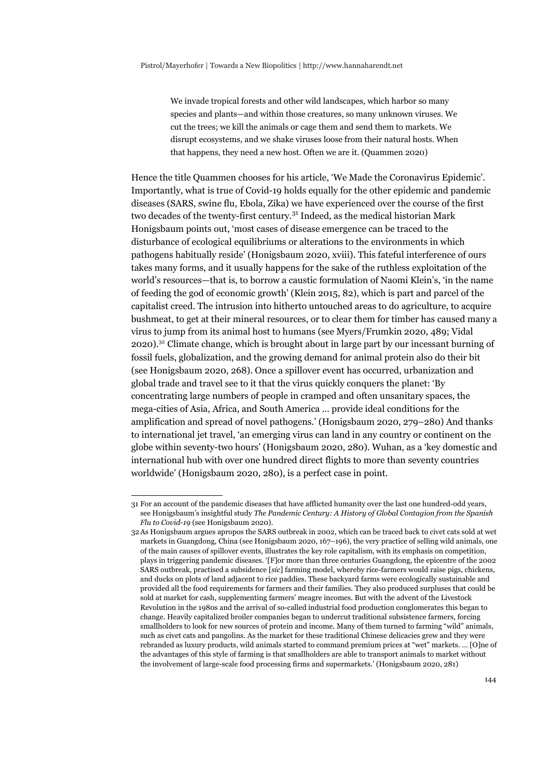We invade tropical forests and other wild landscapes, which harbor so many species and plants—and within those creatures, so many unknown viruses. We cut the trees; we kill the animals or cage them and send them to markets. We disrupt ecosystems, and we shake viruses loose from their natural hosts. When that happens, they need a new host. Often we are it. (Quammen 2020)

Hence the title Quammen chooses for his article, 'We Made the Coronavirus Epidemic'. Importantly, what is true of Covid-19 holds equally for the other epidemic and pandemic diseases (SARS, swine flu, Ebola, Zika) we have experienced over the course of the first two decades of the twenty-first century.<sup>[31](#page-11-0)</sup> Indeed, as the medical historian Mark Honigsbaum points out, 'most cases of disease emergence can be traced to the disturbance of ecological equilibriums or alterations to the environments in which pathogens habitually reside' (Honigsbaum 2020, xviii). This fateful interference of ours takes many forms, and it usually happens for the sake of the ruthless exploitation of the world's resources—that is, to borrow a caustic formulation of Naomi Klein's, 'in the name of feeding the god of economic growth' (Klein 2015, 82), which is part and parcel of the capitalist creed. The intrusion into hitherto untouched areas to do agriculture, to acquire bushmeat, to get at their mineral resources, or to clear them for timber has caused many a virus to jump from its animal host to humans (see Myers/Frumkin 2020, 489; Vidal 2020).[32](#page-11-1) Climate change, which is brought about in large part by our incessant burning of fossil fuels, globalization, and the growing demand for animal protein also do their bit (see Honigsbaum 2020, 268). Once a spillover event has occurred, urbanization and global trade and travel see to it that the virus quickly conquers the planet: 'By concentrating large numbers of people in cramped and often unsanitary spaces, the mega-cities of Asia, Africa, and South America … provide ideal conditions for the amplification and spread of novel pathogens.' (Honigsbaum 2020, 279–280) And thanks to international jet travel, 'an emerging virus can land in any country or continent on the globe within seventy-two hours' (Honigsbaum 2020, 280). Wuhan, as a 'key domestic and international hub with over one hundred direct flights to more than seventy countries worldwide' (Honigsbaum 2020, 280), is a perfect case in point.

<span id="page-11-0"></span><sup>31</sup> For an account of the pandemic diseases that have afflicted humanity over the last one hundred-odd years, see Honigsbaum's insightful study *The Pandemic Century: A History of Global Contagion from the Spanish Flu to Covid-19* (see Honigsbaum 2020).

<span id="page-11-1"></span><sup>32</sup>As Honigsbaum argues apropos the SARS outbreak in 2002, which can be traced back to civet cats sold at wet markets in Guangdong, China (see Honigsbaum 2020, 167–196), the very practice of selling wild animals, one of the main causes of spillover events, illustrates the key role capitalism, with its emphasis on competition, plays in triggering pandemic diseases. '[F]or more than three centuries Guangdong, the epicentre of the 2002 SARS outbreak, practised a subsidence [*sic*] farming model, whereby rice-farmers would raise pigs, chickens, and ducks on plots of land adjacent to rice paddies. These backyard farms were ecologically sustainable and provided all the food requirements for farmers and their families. They also produced surpluses that could be sold at market for cash, supplementing farmers' meagre incomes. But with the advent of the Livestock Revolution in the 1980s and the arrival of so-called industrial food production conglomerates this began to change. Heavily capitalized broiler companies began to undercut traditional subsistence farmers, forcing smallholders to look for new sources of protein and income. Many of them turned to farming "wild" animals, such as civet cats and pangolins. As the market for these traditional Chinese delicacies grew and they were rebranded as luxury products, wild animals started to command premium prices at "wet" markets. … [O]ne of the advantages of this style of farming is that smallholders are able to transport animals to market without the involvement of large-scale food processing firms and supermarkets.' (Honigsbaum 2020, 281)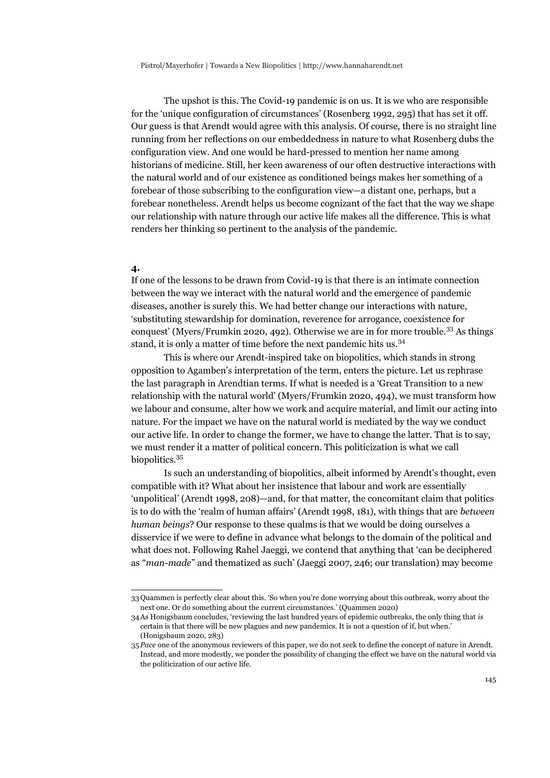The upshot is this. The Covid-19 pandemic is on us. It is we who are responsible for the 'unique configuration of circumstances' (Rosenberg 1992, 295) that has set it off. Our guess is that Arendt would agree with this analysis. Of course, there is no straight line running from her reflections on our embeddedness in nature to what Rosenberg dubs the configuration view. And one would be hard-pressed to mention her name among historians of medicine. Still, her keen awareness of our often destructive interactions with the natural world and of our existence as conditioned beings makes her something of a forebear of those subscribing to the configuration view—a distant one, perhaps, but a forebear nonetheless. Arendt helps us become cognizant of the fact that the way we shape our relationship with nature through our active life makes all the difference. This is what renders her thinking so pertinent to the analysis of the pandemic.

#### **4.**

If one of the lessons to be drawn from Covid-19 is that there is an intimate connection between the way we interact with the natural world and the emergence of pandemic diseases, another is surely this. We had better change our interactions with nature, 'substituting stewardship for domination, reverence for arrogance, coexistence for conquest' (Myers/Frumkin 2020, 492). Otherwise we are in for more trouble.[33](#page-12-0) As things stand, it is only a matter of time before the next pandemic hits us.<sup>[34](#page-12-1)</sup>

This is where our Arendt-inspired take on biopolitics, which stands in strong opposition to Agamben's interpretation of the term, enters the picture. Let us rephrase the last paragraph in Arendtian terms. If what is needed is a 'Great Transition to a new relationship with the natural world' (Myers/Frumkin 2020, 494), we must transform how we labour and consume, alter how we work and acquire material, and limit our acting into nature. For the impact we have on the natural world is mediated by the way we conduct our active life. In order to change the former, we have to change the latter. That is to say, we must render it a matter of political concern. This politicization is what we call biopolitics.[35](#page-12-2)

Is such an understanding of biopolitics, albeit informed by Arendt's thought, even compatible with it? What about her insistence that labour and work are essentially 'unpolitical' (Arendt 1998, 208)—and, for that matter, the concomitant claim that politics is to do with the 'realm of human affairs' (Arendt 1998, 181), with things that are *between human beings*? Our response to these qualms is that we would be doing ourselves a disservice if we were to define in advance what belongs to the domain of the political and what does not. Following Rahel Jaeggi, we contend that anything that 'can be deciphered as "*man-made*" and thematized as such' (Jaeggi 2007, 246; our translation) may become

<span id="page-12-0"></span><sup>33</sup>Quammen is perfectly clear about this. 'So when you're done worrying about this outbreak, worry about the next one. Or do something about the current circumstances.' (Quammen 2020)

<span id="page-12-1"></span><sup>34</sup>As Honigsbaum concludes, 'reviewing the last hundred years of epidemic outbreaks, the only thing that *is* certain is that there will be new plagues and new pandemics. It is not a question of if, but when.' (Honigsbaum 2020, 283)

<span id="page-12-2"></span><sup>35</sup> *Pace* one of the anonymous reviewers of this paper, we do not seek to define the concept of nature in Arendt. Instead, and more modestly, we ponder the possibility of changing the effect we have on the natural world via the politicization of our active life.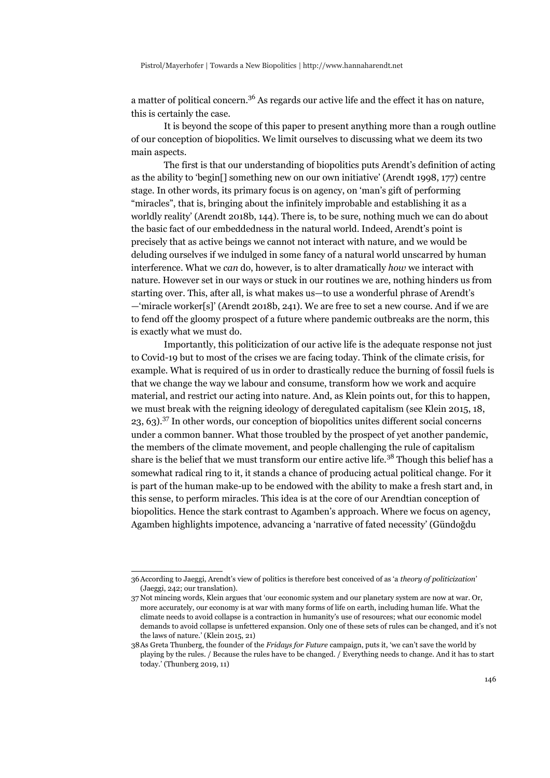a matter of political concern.[36](#page-13-0) As regards our active life and the effect it has on nature, this is certainly the case.

It is beyond the scope of this paper to present anything more than a rough outline of our conception of biopolitics. We limit ourselves to discussing what we deem its two main aspects.

The first is that our understanding of biopolitics puts Arendt's definition of acting as the ability to 'begin[] something new on our own initiative' (Arendt 1998, 177) centre stage. In other words, its primary focus is on agency, on 'man's gift of performing "miracles", that is, bringing about the infinitely improbable and establishing it as a worldly reality' (Arendt 2018b, 144). There is, to be sure, nothing much we can do about the basic fact of our embeddedness in the natural world. Indeed, Arendt's point is precisely that as active beings we cannot not interact with nature, and we would be deluding ourselves if we indulged in some fancy of a natural world unscarred by human interference. What we *can* do, however, is to alter dramatically *how* we interact with nature. However set in our ways or stuck in our routines we are, nothing hinders us from starting over. This, after all, is what makes us—to use a wonderful phrase of Arendt's —'miracle worker[s]' (Arendt 2018b, 241). We are free to set a new course. And if we are to fend off the gloomy prospect of a future where pandemic outbreaks are the norm, this is exactly what we must do.

Importantly, this politicization of our active life is the adequate response not just to Covid-19 but to most of the crises we are facing today. Think of the climate crisis, for example. What is required of us in order to drastically reduce the burning of fossil fuels is that we change the way we labour and consume, transform how we work and acquire material, and restrict our acting into nature. And, as Klein points out, for this to happen, we must break with the reigning ideology of deregulated capitalism (see Klein 2015, 18,  $23, 63$ .<sup>[37](#page-13-1)</sup> In other words, our conception of biopolitics unites different social concerns under a common banner. What those troubled by the prospect of yet another pandemic, the members of the climate movement, and people challenging the rule of capitalism share is the belief that we must transform our entire active life.<sup>[38](#page-13-2)</sup> Though this belief has a somewhat radical ring to it, it stands a chance of producing actual political change. For it is part of the human make-up to be endowed with the ability to make a fresh start and, in this sense, to perform miracles. This idea is at the core of our Arendtian conception of biopolitics. Hence the stark contrast to Agamben's approach. Where we focus on agency, Agamben highlights impotence, advancing a 'narrative of fated necessity' (Gündoğdu

<span id="page-13-0"></span><sup>36</sup>According to Jaeggi, Arendt's view of politics is therefore best conceived of as 'a *theory of politicization*' (Jaeggi, 242; our translation).

<span id="page-13-1"></span><sup>37</sup> Not mincing words, Klein argues that 'our economic system and our planetary system are now at war. Or, more accurately, our economy is at war with many forms of life on earth, including human life. What the climate needs to avoid collapse is a contraction in humanity's use of resources; what our economic model demands to avoid collapse is unfettered expansion. Only one of these sets of rules can be changed, and it's not the laws of nature.' (Klein 2015, 21)

<span id="page-13-2"></span><sup>38</sup>As Greta Thunberg, the founder of the *Fridays for Future* campaign, puts it, 'we can't save the world by playing by the rules. / Because the rules have to be changed. / Everything needs to change. And it has to start today.' (Thunberg 2019, 11)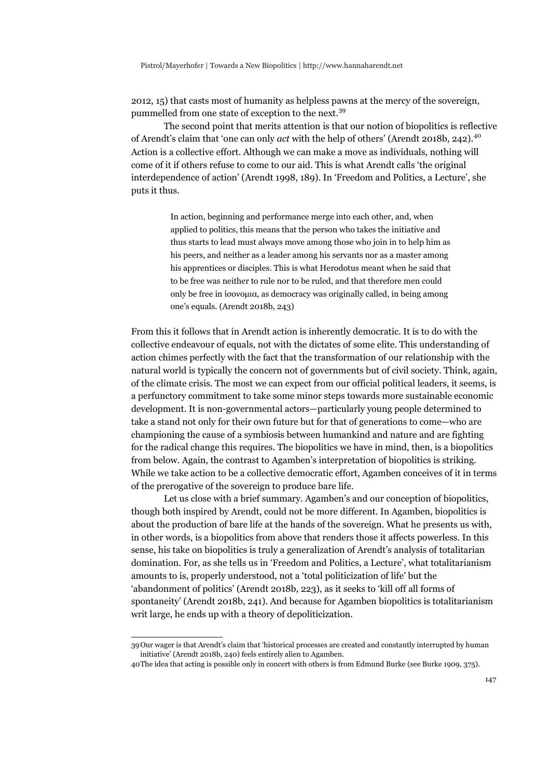2012, 15) that casts most of humanity as helpless pawns at the mercy of the sovereign, pummelled from one state of exception to the next.[39](#page-14-0)

The second point that merits attention is that our notion of biopolitics is reflective of Arendt's claim that 'one can only *act* with the help of others' (Arendt 2018b, 242).[40](#page-14-1) Action is a collective effort. Although we can make a move as individuals, nothing will come of it if others refuse to come to our aid. This is what Arendt calls 'the original interdependence of action' (Arendt 1998, 189). In 'Freedom and Politics, a Lecture', she puts it thus.

> In action, beginning and performance merge into each other, and, when applied to politics, this means that the person who takes the initiative and thus starts to lead must always move among those who join in to help him as his peers, and neither as a leader among his servants nor as a master among his apprentices or disciples. This is what Herodotus meant when he said that to be free was neither to rule nor to be ruled, and that therefore men could only be free in ίσονομια, as democracy was originally called, in being among one's equals. (Arendt 2018b, 243)

From this it follows that in Arendt action is inherently democratic. It is to do with the collective endeavour of equals, not with the dictates of some elite. This understanding of action chimes perfectly with the fact that the transformation of our relationship with the natural world is typically the concern not of governments but of civil society. Think, again, of the climate crisis. The most we can expect from our official political leaders, it seems, is a perfunctory commitment to take some minor steps towards more sustainable economic development. It is non-governmental actors—particularly young people determined to take a stand not only for their own future but for that of generations to come—who are championing the cause of a symbiosis between humankind and nature and are fighting for the radical change this requires. The biopolitics we have in mind, then, is a biopolitics from below. Again, the contrast to Agamben's interpretation of biopolitics is striking. While we take action to be a collective democratic effort, Agamben conceives of it in terms of the prerogative of the sovereign to produce bare life.

Let us close with a brief summary. Agamben's and our conception of biopolitics, though both inspired by Arendt, could not be more different. In Agamben, biopolitics is about the production of bare life at the hands of the sovereign. What he presents us with, in other words, is a biopolitics from above that renders those it affects powerless. In this sense, his take on biopolitics is truly a generalization of Arendt's analysis of totalitarian domination. For, as she tells us in 'Freedom and Politics, a Lecture', what totalitarianism amounts to is, properly understood, not a 'total politicization of life' but the 'abandonment of politics' (Arendt 2018b, 223), as it seeks to 'kill off all forms of spontaneity' (Arendt 2018b, 241). And because for Agamben biopolitics is totalitarianism writ large, he ends up with a theory of depoliticization.

<span id="page-14-0"></span><sup>39</sup>Our wager is that Arendt's claim that 'historical processes are created and constantly interrupted by human initiative' (Arendt 2018b, 240) feels entirely alien to Agamben.

<span id="page-14-1"></span><sup>40</sup>The idea that acting is possible only in concert with others is from Edmund Burke (see Burke 1909, 375).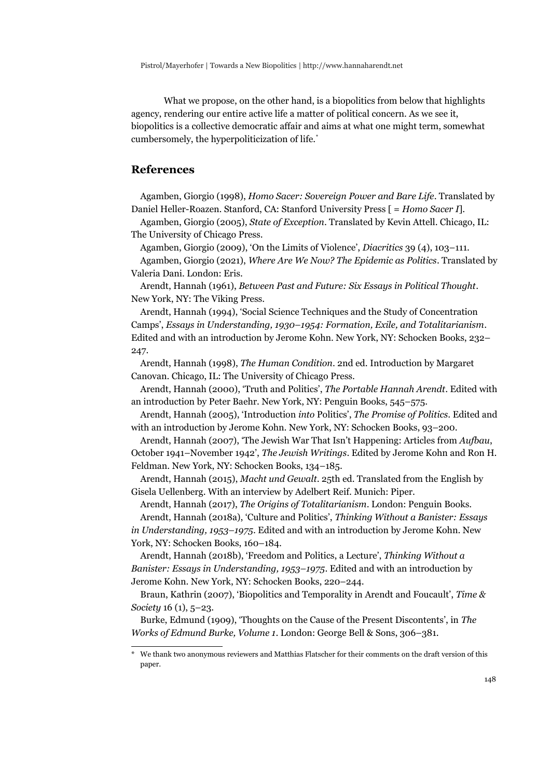What we propose, on the other hand, is a biopolitics from below that highlights agency, rendering our entire active life a matter of political concern. As we see it, biopolitics is a collective democratic affair and aims at what one might term, somewhat cumbersomely, the hyperpoliticization of life.[\\*](#page-15-0)

#### **References**

Agamben, Giorgio (1998), *Homo Sacer: Sovereign Power and Bare Life*. Translated by Daniel Heller-Roazen. Stanford, CA: Stanford University Press [ = *Homo Sacer I*].

Agamben, Giorgio (2005), *State of Exception*. Translated by Kevin Attell. Chicago, IL: The University of Chicago Press.

Agamben, Giorgio (2009), 'On the Limits of Violence', *Diacritics* 39 (4), 103–111.

Agamben, Giorgio (2021), *Where Are We Now? The Epidemic as Politics*. Translated by Valeria Dani. London: Eris.

Arendt, Hannah (1961), *Between Past and Future: Six Essays in Political Thought*. New York, NY: The Viking Press.

Arendt, Hannah (1994), 'Social Science Techniques and the Study of Concentration Camps', *Essays in Understanding, 1930–1954: Formation, Exile, and Totalitarianism*. Edited and with an introduction by Jerome Kohn. New York, NY: Schocken Books, 232– 247.

Arendt, Hannah (1998), *The Human Condition*. 2nd ed. Introduction by Margaret Canovan. Chicago, IL: The University of Chicago Press.

Arendt, Hannah (2000), 'Truth and Politics', *The Portable Hannah Arendt*. Edited with an introduction by Peter Baehr. New York, NY: Penguin Books, 545–575.

Arendt, Hannah (2005), 'Introduction *into* Politics', *The Promise of Politics*. Edited and with an introduction by Jerome Kohn. New York, NY: Schocken Books, 93–200.

Arendt, Hannah (2007), 'The Jewish War That Isn't Happening: Articles from *Aufbau*, October 1941–November 1942', *The Jewish Writings*. Edited by Jerome Kohn and Ron H. Feldman. New York, NY: Schocken Books, 134–185.

Arendt, Hannah (2015), *Macht und Gewalt*. 25th ed. Translated from the English by Gisela Uellenberg. With an interview by Adelbert Reif. Munich: Piper.

Arendt, Hannah (2017), *The Origins of Totalitarianism*. London: Penguin Books.

Arendt, Hannah (2018a), 'Culture and Politics', *Thinking Without a Banister: Essays in Understanding, 1953–1975*. Edited and with an introduction by Jerome Kohn. New York, NY: Schocken Books, 160–184.

Arendt, Hannah (2018b), 'Freedom and Politics, a Lecture', *Thinking Without a Banister: Essays in Understanding, 1953–1975*. Edited and with an introduction by Jerome Kohn. New York, NY: Schocken Books, 220–244.

Braun, Kathrin (2007), 'Biopolitics and Temporality in Arendt and Foucault', *Time & Society* 16 (1), 5–23.

Burke, Edmund (1909), 'Thoughts on the Cause of the Present Discontents', in *The Works of Edmund Burke, Volume 1*. London: George Bell & Sons, 306–381.

<span id="page-15-0"></span>We thank two anonymous reviewers and Matthias Flatscher for their comments on the draft version of this paper.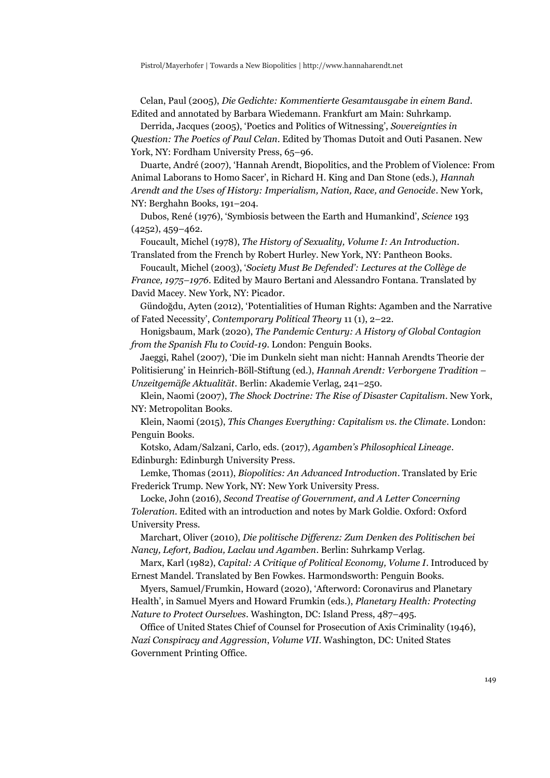Pistrol/Mayerhofer | Towards a New Biopolitics | http://www.hannaharendt.net

Celan, Paul (2005), *Die Gedichte: Kommentierte Gesamtausgabe in einem Band*. Edited and annotated by Barbara Wiedemann. Frankfurt am Main: Suhrkamp.

Derrida, Jacques (2005), 'Poetics and Politics of Witnessing', *Sovereignties in Question: The Poetics of Paul Celan*. Edited by Thomas Dutoit and Outi Pasanen. New York, NY: Fordham University Press, 65–96.

Duarte, André (2007), 'Hannah Arendt, Biopolitics, and the Problem of Violence: From Animal Laborans to Homo Sacer', in Richard H. King and Dan Stone (eds.), *Hannah Arendt and the Uses of History: Imperialism, Nation, Race, and Genocide*. New York, NY: Berghahn Books, 191–204.

Dubos, René (1976), 'Symbiosis between the Earth and Humankind', *Science* 193 (4252), 459–462.

Foucault, Michel (1978), *The History of Sexuality, Volume I: An Introduction*. Translated from the French by Robert Hurley. New York, NY: Pantheon Books.

Foucault, Michel (2003), '*Society Must Be Defended': Lectures at the Collège de France, 1975–1976*. Edited by Mauro Bertani and Alessandro Fontana. Translated by David Macey. New York, NY: Picador.

Gündoğdu, Ayten (2012), 'Potentialities of Human Rights: Agamben and the Narrative of Fated Necessity', *Contemporary Political Theory* 11 (1), 2–22.

Honigsbaum, Mark (2020), *The Pandemic Century: A History of Global Contagion from the Spanish Flu to Covid-19*. London: Penguin Books.

Jaeggi, Rahel (2007), 'Die im Dunkeln sieht man nicht: Hannah Arendts Theorie der Politisierung' in Heinrich-Böll-Stiftung (ed.), *Hannah Arendt: Verborgene Tradition – Unzeitgemäße Aktualität*. Berlin: Akademie Verlag, 241–250.

Klein, Naomi (2007), *The Shock Doctrine: The Rise of Disaster Capitalism*. New York, NY: Metropolitan Books.

Klein, Naomi (2015), *This Changes Everything: Capitalism vs. the Climate*. London: Penguin Books.

Kotsko, Adam/Salzani, Carlo, eds. (2017), *Agamben's Philosophical Lineage*. Edinburgh: Edinburgh University Press.

Lemke, Thomas (2011), *Biopolitics: An Advanced Introduction*. Translated by Eric Frederick Trump. New York, NY: New York University Press.

Locke, John (2016), *Second Treatise of Government, and A Letter Concerning Toleration*. Edited with an introduction and notes by Mark Goldie. Oxford: Oxford University Press.

Marchart, Oliver (2010), *Die politische Differenz: Zum Denken des Politischen bei Nancy, Lefort, Badiou, Laclau und Agamben*. Berlin: Suhrkamp Verlag.

Marx, Karl (1982), *Capital: A Critique of Political Economy, Volume I*. Introduced by Ernest Mandel. Translated by Ben Fowkes. Harmondsworth: Penguin Books.

Myers, Samuel/Frumkin, Howard (2020), 'Afterword: Coronavirus and Planetary Health', in Samuel Myers and Howard Frumkin (eds.), *Planetary Health: Protecting Nature to Protect Ourselves*. Washington, DC: Island Press, 487–495.

Office of United States Chief of Counsel for Prosecution of Axis Criminality (1946), *Nazi Conspiracy and Aggression*, *Volume VII*. Washington, DC: United States Government Printing Office.